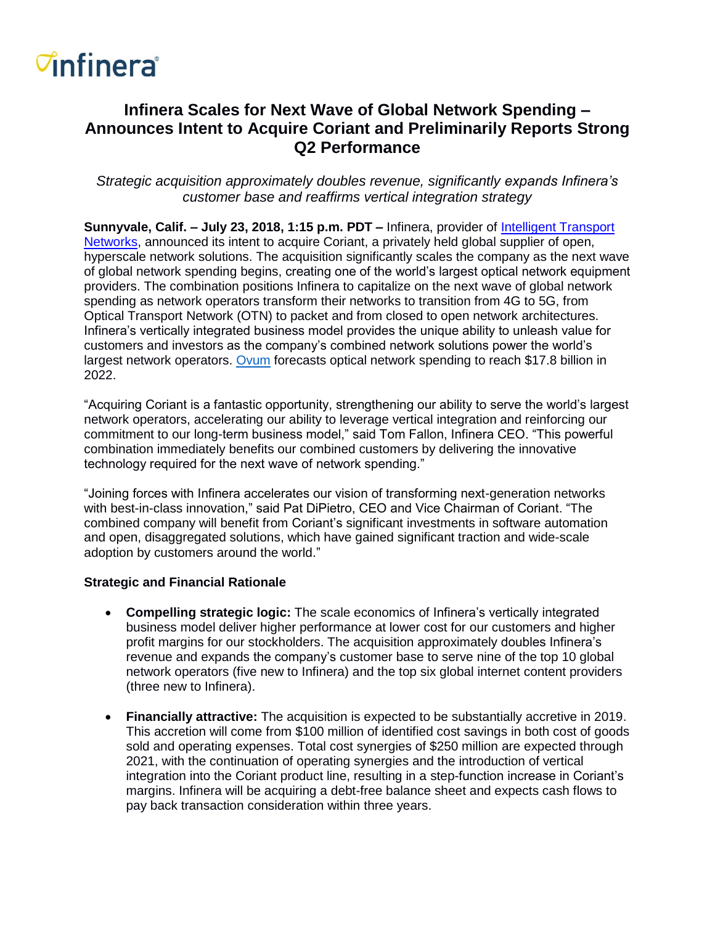## *<del>d</del>nfinera*

### **Infinera Scales for Next Wave of Global Network Spending – Announces Intent to Acquire Coriant and Preliminarily Reports Strong Q2 Performance**

*Strategic acquisition approximately doubles revenue, significantly expands Infinera's customer base and reaffirms vertical integration strategy*

**Sunnyvale, Calif. – July 23, 2018, 1:15 p.m. PDT –** Infinera, provider of [Intelligent Transport](https://www.infinera.com/technology/intelligent-transport-network/)  [Networks,](https://www.infinera.com/technology/intelligent-transport-network/) announced its intent to acquire Coriant, a privately held global supplier of open, hyperscale network solutions. The acquisition significantly scales the company as the next wave of global network spending begins, creating one of the world's largest optical network equipment providers. The combination positions Infinera to capitalize on the next wave of global network spending as network operators transform their networks to transition from 4G to 5G, from Optical Transport Network (OTN) to packet and from closed to open network architectures. Infinera's vertically integrated business model provides the unique ability to unleash value for customers and investors as the company's combined network solutions power the world's largest network operators. [Ovum](https://www.ovumkc.com/Products/Service-Provider-Technology/Network-Infrastructure-and-Software/Optical-Networks-Forecast-Spreadsheet-2017-22/Summary) forecasts optical network spending to reach \$17.8 billion in 2022.

"Acquiring Coriant is a fantastic opportunity, strengthening our ability to serve the world's largest network operators, accelerating our ability to leverage vertical integration and reinforcing our commitment to our long-term business model," said Tom Fallon, Infinera CEO. "This powerful combination immediately benefits our combined customers by delivering the innovative technology required for the next wave of network spending."

"Joining forces with Infinera accelerates our vision of transforming next-generation networks with best-in-class innovation," said Pat DiPietro, CEO and Vice Chairman of Coriant. "The combined company will benefit from Coriant's significant investments in software automation and open, disaggregated solutions, which have gained significant traction and wide-scale adoption by customers around the world."

#### **Strategic and Financial Rationale**

- **Compelling strategic logic:** The scale economics of Infinera's vertically integrated business model deliver higher performance at lower cost for our customers and higher profit margins for our stockholders. The acquisition approximately doubles Infinera's revenue and expands the company's customer base to serve nine of the top 10 global network operators (five new to Infinera) and the top six global internet content providers (three new to Infinera).
- **Financially attractive:** The acquisition is expected to be substantially accretive in 2019. This accretion will come from \$100 million of identified cost savings in both cost of goods sold and operating expenses. Total cost synergies of \$250 million are expected through 2021, with the continuation of operating synergies and the introduction of vertical integration into the Coriant product line, resulting in a step-function increase in Coriant's margins. Infinera will be acquiring a debt-free balance sheet and expects cash flows to pay back transaction consideration within three years.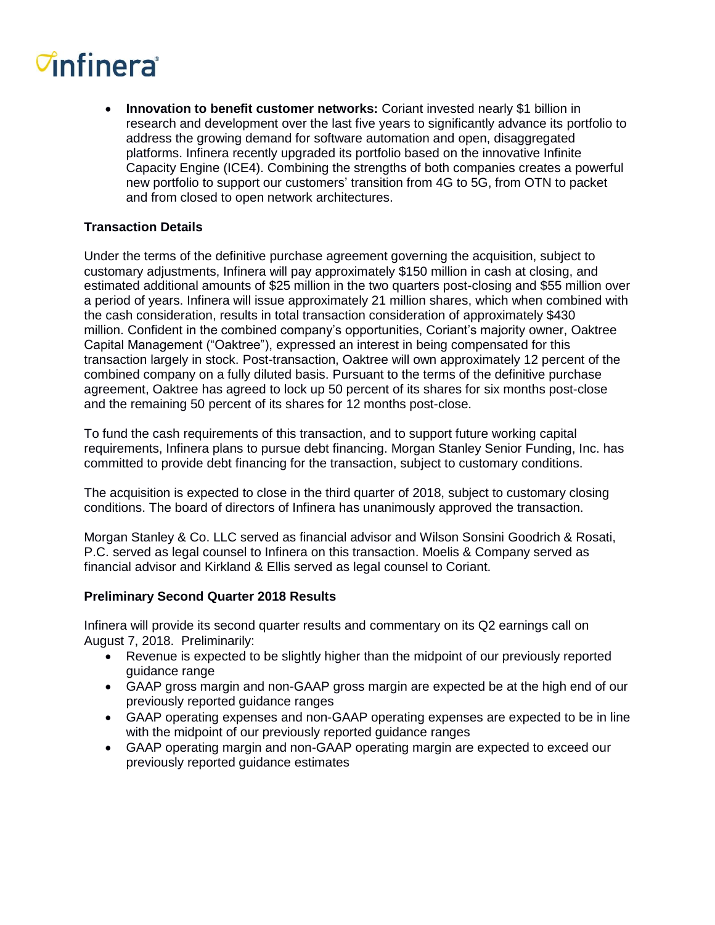# *<del>d</del>nfinera*

• **Innovation to benefit customer networks:** Coriant invested nearly \$1 billion in research and development over the last five years to significantly advance its portfolio to address the growing demand for software automation and open, disaggregated platforms. Infinera recently upgraded its portfolio based on the innovative Infinite Capacity Engine (ICE4). Combining the strengths of both companies creates a powerful new portfolio to support our customers' transition from 4G to 5G, from OTN to packet and from closed to open network architectures.

#### **Transaction Details**

Under the terms of the definitive purchase agreement governing the acquisition, subject to customary adjustments, Infinera will pay approximately \$150 million in cash at closing, and estimated additional amounts of \$25 million in the two quarters post-closing and \$55 million over a period of years. Infinera will issue approximately 21 million shares, which when combined with the cash consideration, results in total transaction consideration of approximately \$430 million. Confident in the combined company's opportunities, Coriant's majority owner, Oaktree Capital Management ("Oaktree"), expressed an interest in being compensated for this transaction largely in stock. Post-transaction, Oaktree will own approximately 12 percent of the combined company on a fully diluted basis. Pursuant to the terms of the definitive purchase agreement, Oaktree has agreed to lock up 50 percent of its shares for six months post-close and the remaining 50 percent of its shares for 12 months post-close.

To fund the cash requirements of this transaction, and to support future working capital requirements, Infinera plans to pursue debt financing. Morgan Stanley Senior Funding, Inc. has committed to provide debt financing for the transaction, subject to customary conditions.

The acquisition is expected to close in the third quarter of 2018, subject to customary closing conditions. The board of directors of Infinera has unanimously approved the transaction.

Morgan Stanley & Co. LLC served as financial advisor and Wilson Sonsini Goodrich & Rosati, P.C. served as legal counsel to Infinera on this transaction. Moelis & Company served as financial advisor and Kirkland & Ellis served as legal counsel to Coriant.

#### **Preliminary Second Quarter 2018 Results**

Infinera will provide its second quarter results and commentary on its Q2 earnings call on August 7, 2018. Preliminarily:

- Revenue is expected to be slightly higher than the midpoint of our previously reported guidance range
- GAAP gross margin and non-GAAP gross margin are expected be at the high end of our previously reported guidance ranges
- GAAP operating expenses and non-GAAP operating expenses are expected to be in line with the midpoint of our previously reported guidance ranges
- GAAP operating margin and non-GAAP operating margin are expected to exceed our previously reported guidance estimates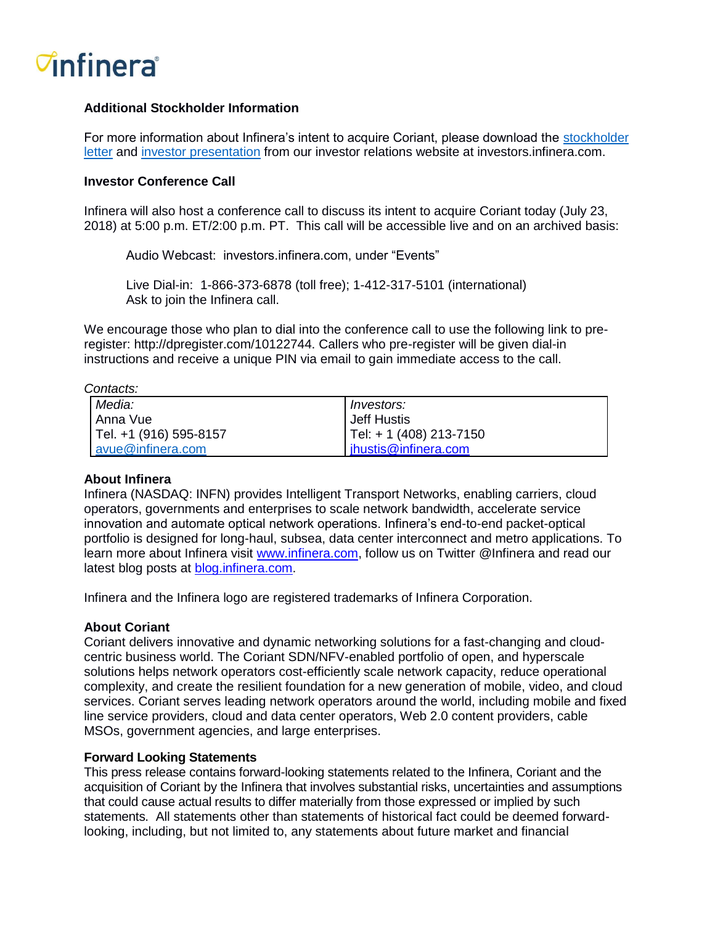### *C***infinera**<sup>®</sup>

#### **Additional Stockholder Information**

For more information about Infinera's intent to acquire Coriant, please download the [stockholder](http://investors.infinera.com/files/doc_presentations/2018/07/InfineraShareholderLetter0723.pdf)  [letter](http://investors.infinera.com/files/doc_presentations/2018/07/InfineraShareholderLetter0723.pdf) and [investor presentation](http://investors.infinera.com/files/doc_presentations/2018/07/InfineraPresentation0723.pdf) from our investor relations website at investors.infinera.com.

#### **Investor Conference Call**

Infinera will also host a conference call to discuss its intent to acquire Coriant today (July 23, 2018) at 5:00 p.m. ET/2:00 p.m. PT. This call will be accessible live and on an archived basis:

Audio Webcast: investors.infinera.com, under "Events"

Live Dial-in: 1-866-373-6878 (toll free); 1-412-317-5101 (international) Ask to join the Infinera call.

We encourage those who plan to dial into the conference call to use the following link to preregister: http://dpregister.com/10122744. Callers who pre-register will be given dial-in instructions and receive a unique PIN via email to gain immediate access to the call.

*Contacts:*

| Media:                 | Investors:              |
|------------------------|-------------------------|
| l Anna Vuel            | <b>Jeff Hustis</b>      |
| Tel. +1 (916) 595-8157 | Tel: + 1 (408) 213-7150 |
| avue@infinera.com      | ihustis@infinera.com    |

#### **About Infinera**

Infinera (NASDAQ: INFN) provides Intelligent Transport Networks, enabling carriers, cloud operators, governments and enterprises to scale network bandwidth, accelerate service innovation and automate optical network operations. Infinera's end-to-end packet-optical portfolio is designed for long-haul, subsea, data center interconnect and metro applications. To learn more about Infinera visit [www.infinera.com,](http://www.infinera.com/) follow us on Twitter @Infinera and read our latest blog posts at [blog.infinera.com.](http://blog.infinera.com/)

Infinera and the Infinera logo are registered trademarks of Infinera Corporation.

#### **About Coriant**

Coriant delivers innovative and dynamic networking solutions for a fast-changing and cloudcentric business world. The Coriant SDN/NFV-enabled portfolio of open, and hyperscale solutions helps network operators cost-efficiently scale network capacity, reduce operational complexity, and create the resilient foundation for a new generation of mobile, video, and cloud services. Coriant serves leading network operators around the world, including mobile and fixed line service providers, cloud and data center operators, Web 2.0 content providers, cable MSOs, government agencies, and large enterprises.

#### **Forward Looking Statements**

This press release contains forward-looking statements related to the Infinera, Coriant and the acquisition of Coriant by the Infinera that involves substantial risks, uncertainties and assumptions that could cause actual results to differ materially from those expressed or implied by such statements. All statements other than statements of historical fact could be deemed forwardlooking, including, but not limited to, any statements about future market and financial